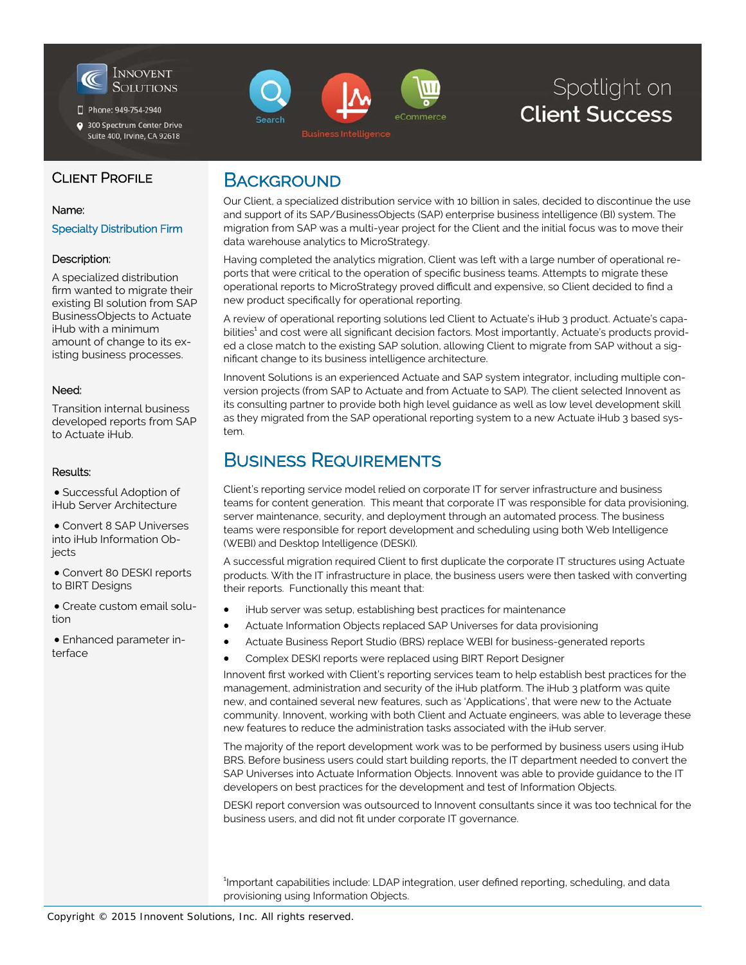

Phone: 949-754-2940

300 Spectrum Center Drive Suite 400, Irvine, CA 92618

# eCommerce earch

# Spotlight on **Client Success**

### CLIENT PROFILE

#### Name:

Specialty Distribution Firm

#### Description:

A specialized distribution firm wanted to migrate their existing BI solution from SAP BusinessObjects to Actuate iHub with a minimum amount of change to its existing business processes.

#### Need:

Transition internal business developed reports from SAP to Actuate iHub.

#### Results:

 Successful Adoption of iHub Server Architecture

 Convert 8 SAP Universes into iHub Information Obiects

 Convert 80 DESKI reports to BIRT Designs

 Create custom email solution

 Enhanced parameter interface

### **BACKGROUND**

Our Client, a specialized distribution service with 10 billion in sales, decided to discontinue the use and support of its SAP/BusinessObjects (SAP) enterprise business intelligence (BI) system. The migration from SAP was a multi-year project for the Client and the initial focus was to move their data warehouse analytics to MicroStrategy.

Having completed the analytics migration, Client was left with a large number of operational reports that were critical to the operation of specific business teams. Attempts to migrate these operational reports to MicroStrategy proved difficult and expensive, so Client decided to find a new product specifically for operational reporting.

A review of operational reporting solutions led Client to Actuate's iHub 3 product. Actuate's capabilities<sup>1</sup> and cost were all significant decision factors. Most importantly, Actuate's products provided a close match to the existing SAP solution, allowing Client to migrate from SAP without a significant change to its business intelligence architecture.

Innovent Solutions is an experienced Actuate and SAP system integrator, including multiple conversion projects (from SAP to Actuate and from Actuate to SAP). The client selected Innovent as its consulting partner to provide both high level guidance as well as low level development skill as they migrated from the SAP operational reporting system to a new Actuate iHub 3 based system.

### BUSINESS REQUIREMENTS

Client's reporting service model relied on corporate IT for server infrastructure and business teams for content generation. This meant that corporate IT was responsible for data provisioning, server maintenance, security, and deployment through an automated process. The business teams were responsible for report development and scheduling using both Web Intelligence (WEBI) and Desktop Intelligence (DESKI).

A successful migration required Client to first duplicate the corporate IT structures using Actuate products. With the IT infrastructure in place, the business users were then tasked with converting their reports. Functionally this meant that:

- iHub server was setup, establishing best practices for maintenance
- Actuate Information Objects replaced SAP Universes for data provisioning
- Actuate Business Report Studio (BRS) replace WEBI for business-generated reports
- Complex DESKI reports were replaced using BIRT Report Designer

Innovent first worked with Client's reporting services team to help establish best practices for the management, administration and security of the iHub platform. The iHub 3 platform was quite new, and contained several new features, such as 'Applications', that were new to the Actuate community. Innovent, working with both Client and Actuate engineers, was able to leverage these new features to reduce the administration tasks associated with the iHub server.

The majority of the report development work was to be performed by business users using iHub BRS. Before business users could start building reports, the IT department needed to convert the SAP Universes into Actuate Information Objects. Innovent was able to provide guidance to the IT developers on best practices for the development and test of Information Objects.

DESKI report conversion was outsourced to Innovent consultants since it was too technical for the business users, and did not fit under corporate IT governance.

<sup>1</sup>Important capabilities include: LDAP integration, user defined reporting, scheduling, and data provisioning using Information Objects.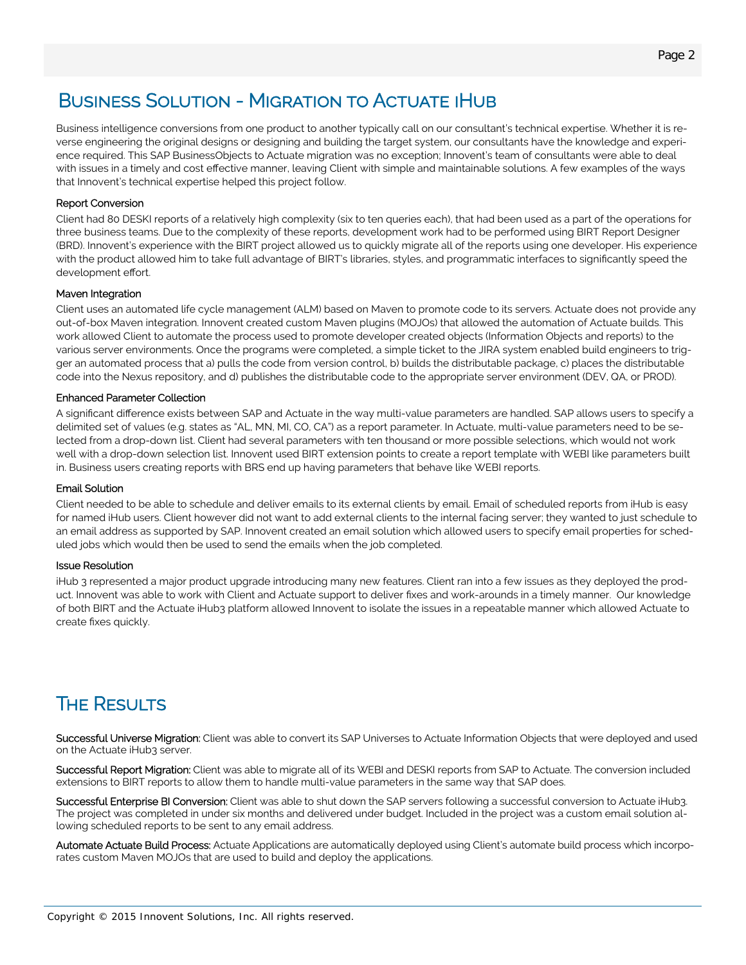## BUSINESS SOLUTION - MIGRATION TO ACTUATE IHUB

Business intelligence conversions from one product to another typically call on our consultant's technical expertise. Whether it is reverse engineering the original designs or designing and building the target system, our consultants have the knowledge and experience required. This SAP BusinessObjects to Actuate migration was no exception; Innovent's team of consultants were able to deal with issues in a timely and cost effective manner, leaving Client with simple and maintainable solutions. A few examples of the ways that Innovent's technical expertise helped this project follow.

#### Report Conversion

Client had 80 DESKI reports of a relatively high complexity (six to ten queries each), that had been used as a part of the operations for three business teams. Due to the complexity of these reports, development work had to be performed using BIRT Report Designer (BRD). Innovent's experience with the BIRT project allowed us to quickly migrate all of the reports using one developer. His experience with the product allowed him to take full advantage of BIRT's libraries, styles, and programmatic interfaces to significantly speed the development effort.

#### Maven Integration

Client uses an automated life cycle management (ALM) based on Maven to promote code to its servers. Actuate does not provide any out-of-box Maven integration. Innovent created custom Maven plugins (MOJOs) that allowed the automation of Actuate builds. This work allowed Client to automate the process used to promote developer created objects (Information Objects and reports) to the various server environments. Once the programs were completed, a simple ticket to the JIRA system enabled build engineers to trigger an automated process that a) pulls the code from version control, b) builds the distributable package, c) places the distributable code into the Nexus repository, and d) publishes the distributable code to the appropriate server environment (DEV, QA, or PROD).

#### Enhanced Parameter Collection

A significant difference exists between SAP and Actuate in the way multi-value parameters are handled. SAP allows users to specify a delimited set of values (e.g. states as "AL, MN, MI, CO, CA") as a report parameter. In Actuate, multi-value parameters need to be selected from a drop-down list. Client had several parameters with ten thousand or more possible selections, which would not work well with a drop-down selection list. Innovent used BIRT extension points to create a report template with WEBI like parameters built in. Business users creating reports with BRS end up having parameters that behave like WEBI reports.

#### Email Solution

Client needed to be able to schedule and deliver emails to its external clients by email. Email of scheduled reports from iHub is easy for named iHub users. Client however did not want to add external clients to the internal facing server; they wanted to just schedule to an email address as supported by SAP. Innovent created an email solution which allowed users to specify email properties for scheduled jobs which would then be used to send the emails when the job completed.

#### Issue Resolution

iHub 3 represented a major product upgrade introducing many new features. Client ran into a few issues as they deployed the product. Innovent was able to work with Client and Actuate support to deliver fixes and work-arounds in a timely manner. Our knowledge of both BIRT and the Actuate iHub3 platform allowed Innovent to isolate the issues in a repeatable manner which allowed Actuate to create fixes quickly.

# **THE RESULTS**

Successful Universe Migration: Client was able to convert its SAP Universes to Actuate Information Objects that were deployed and used on the Actuate iHub3 server.

Successful Report Migration: Client was able to migrate all of its WEBI and DESKI reports from SAP to Actuate. The conversion included extensions to BIRT reports to allow them to handle multi-value parameters in the same way that SAP does.

Successful Enterprise BI Conversion: Client was able to shut down the SAP servers following a successful conversion to Actuate iHub3. The project was completed in under six months and delivered under budget. Included in the project was a custom email solution allowing scheduled reports to be sent to any email address.

Automate Actuate Build Process: Actuate Applications are automatically deployed using Client's automate build process which incorporates custom Maven MOJOs that are used to build and deploy the applications.